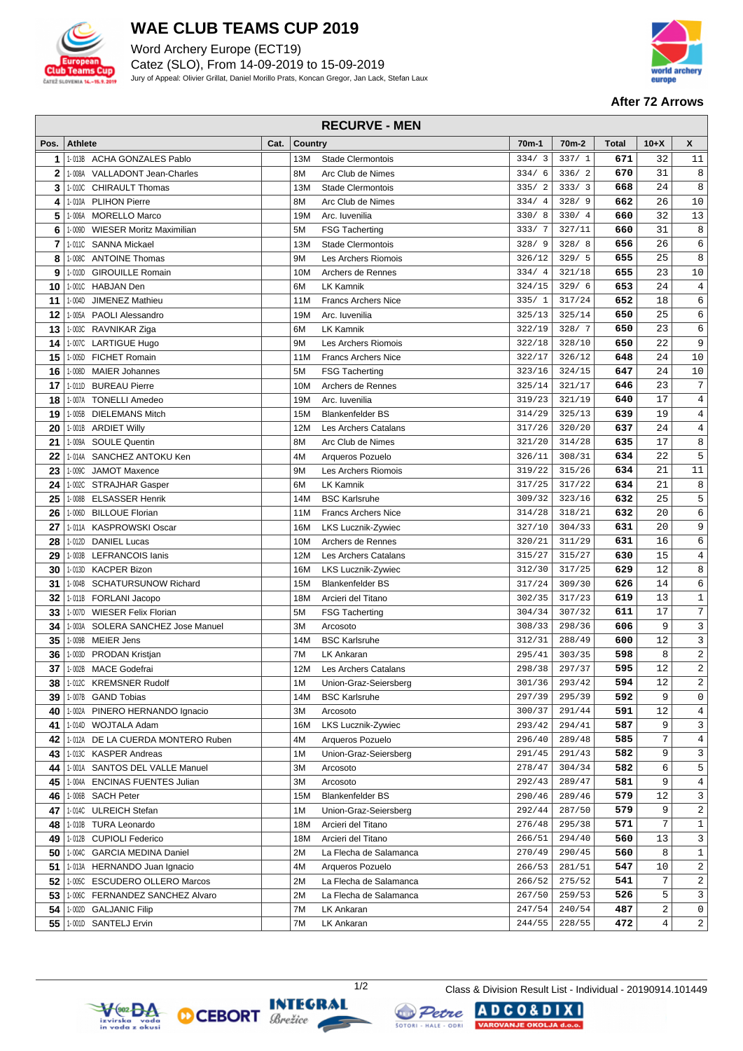

## **WAE CLUB TEAMS CUP 2019**

Word Archery Europe (ECT19) Catez (SLO), From 14-09-2019 to 15-09-2019 Jury of Appeal: Olivier Grillat, Daniel Morillo Prats, Koncan Gregor, Jan Lack, Stefan Laux



#### **After 72 Arrows**

### **RECURVE - MEN**

| Pos.           | <b>Athlete</b> |                                   | Cat. | <b>Country</b> |                            | 70 <sub>m</sub> -1 | 70 <sub>m</sub> -2 | <b>Total</b> | $10+X$         | X               |
|----------------|----------------|-----------------------------------|------|----------------|----------------------------|--------------------|--------------------|--------------|----------------|-----------------|
| 1              |                | 1-013B ACHA GONZALES Pablo        |      | 13M            | <b>Stade Clermontois</b>   | 334/3              | 337/1              | 671          | 32             | 11              |
| $\overline{2}$ |                | 1-008A VALLADONT Jean-Charles     |      | 8M             | Arc Club de Nimes          | 334/6              | 336/2              | 670          | 31             | 8               |
| 3              |                | 1-010C CHIRAULT Thomas            |      | 13M            | Stade Clermontois          | 335/2              | 333/3              | 668          | 24             | 8               |
| 4              |                | 1-010A PLIHON Pierre              |      | 8M             | Arc Club de Nimes          | 334/4              | 328/9              | 662          | 26             | 10              |
| 5              | 1-006A         | <b>MORELLO Marco</b>              |      | 19M            | Arc. Iuvenilia             | 330/8              | 330/4              | 660          | 32             | 13              |
| 6              | 1-009D         | <b>WIESER Moritz Maximilian</b>   |      | 5M             | <b>FSG Tacherting</b>      | 333/7              | 327/11             | 660          | 31             | $\,8\,$         |
| 7              |                | 1-011C SANNA Mickael              |      | 13M            | <b>Stade Clermontois</b>   | 328/9              | 328/8              | 656          | 26             | $\epsilon$      |
| 8              |                | 1-008C ANTOINE Thomas             |      | 9M             | Les Archers Riomois        | 326/12             | 329/5              | 655          | 25             | $\,8\,$         |
| 9              | 1-010D         | <b>GIROUILLE Romain</b>           |      | 10M            | Archers de Rennes          | 334/4              | 321/18             | 655          | 23             | $10$            |
| 10             |                | 1-001C HABJAN Den                 |      | 6М             | <b>LK Kamnik</b>           | 324/15             | 329/6              | 653          | 24             | $\sqrt{4}$      |
| 11             | 1-004D         | JIMENEZ Mathieu                   |      | 11M            | <b>Francs Archers Nice</b> | 335/1              | 317/24             | 652          | 18             | $\epsilon$      |
| 12             |                | 1-005A PAOLI Alessandro           |      | 19M            | Arc. Iuvenilia             | 325/13             | 325/14             | 650          | 25             | 6               |
| 13             |                | 1-003C RAVNIKAR Ziga              |      | 6М             | <b>LK Kamnik</b>           | 322/19             | 328/7              | 650          | 23             | $\epsilon$      |
| 14             |                | 1-007C LARTIGUE Hugo              |      | 9M             | Les Archers Riomois        | 322/18             | 328/10             | 650          | 22             | 9               |
| 15             |                | 1-005D FICHET Romain              |      | 11M            | <b>Francs Archers Nice</b> | 322/17             | 326/12             | 648          | 24             | 10              |
| 16             | 1-008D         | <b>MAIER Johannes</b>             |      | 5M             | <b>FSG Tacherting</b>      | 323/16             | 324/15             | 647          | 24             | 10              |
| 17             |                | 1-011D BUREAU Pierre              |      | 10M            | Archers de Rennes          | 325/14             | 321/17             | 646          | 23             | $7\phantom{.0}$ |
| 18             |                | 1-007A TONELLI Amedeo             |      | 19M            | Arc. Iuvenilia             | 319/23             | 321/19             | 640          | 17             | $\overline{4}$  |
| 19             |                | 1-005B DIELEMANS Mitch            |      | 15M            | <b>Blankenfelder BS</b>    | 314/29             | 325/13             | 639          | 19             | $\overline{4}$  |
| 20             |                | 1-001B ARDIET Willy               |      | 12M            | Les Archers Catalans       | 317/26             | 320/20             | 637          | 24             | $\overline{4}$  |
| 21             |                | 1-009A SOULE Quentin              |      | 8M             | Arc Club de Nimes          | 321/20             | 314/28             | 635          | 17             | 8               |
| 22             |                | 1-014A SANCHEZ ANTOKU Ken         |      | 4M             | Arqueros Pozuelo           | 326/11             | 308/31             | 634          | 22             | 5               |
| 23             | 1-009C         | <b>JAMOT Maxence</b>              |      | 9M             | Les Archers Riomois        | 319/22             | 315/26             | 634          | 21             | 11              |
| 24             |                | 1-002C STRAJHAR Gasper            |      | 6M             | <b>LK Kamnik</b>           | 317/25             | 317/22             | 634          | 21             | $\,8\,$         |
| 25             |                | 1-008B ELSASSER Henrik            |      | 14M            | <b>BSC Karlsruhe</b>       | 309/32             | 323/16             | 632          | 25             | 5               |
| 26             |                | 1-006D BILLOUE Florian            |      | 11M            | <b>Francs Archers Nice</b> | 314/28             | 318/21             | 632          | 20             | $\epsilon$      |
| 27             |                | 1-011A KASPROWSKI Oscar           |      | 16M            | LKS Lucznik-Zywiec         | 327/10             | 304/33             | 631          | 20             | 9               |
| 28             |                | 1-012D DANIEL Lucas               |      | 10M            | Archers de Rennes          | 320/21             | 311/29             | 631          | 16             | $\sqrt{6}$      |
| 29             |                | 1-003B LEFRANCOIS lanis           |      | 12M            | Les Archers Catalans       | 315/27             | 315/27             | 630          | 15             | $\sqrt{4}$      |
| 30             |                | 1-013D KACPER Bizon               |      | 16M            | LKS Lucznik-Zywiec         | 312/30             | 317/25             | 629          | 12             | 8               |
| 31             |                | 1-004B SCHATURSUNOW Richard       |      | 15M            | <b>Blankenfelder BS</b>    | 317/24             | 309/30             | 626          | 14             | $\epsilon$      |
| 32             |                | 1-011B FORLANI Jacopo             |      | 18M            | Arcieri del Titano         | 302/35             | 317/23             | 619          | 13             | $\mathbf{1}$    |
| 33             |                | 1-007D WIESER Felix Florian       |      | 5M             | <b>FSG Tacherting</b>      | 304/34             | 307/32             | 611          | 17             | $7\phantom{.0}$ |
| 34             |                | 1-003A SOLERA SANCHEZ Jose Manuel |      | 3M             | Arcosoto                   | 308/33             | 298/36             | 606          | 9              | 3               |
| 35             |                | 1-009B MEIER Jens                 |      | 14M            | <b>BSC Karlsruhe</b>       | 312/31             | 288/49             | 600          | 12             | $\mathbf{3}$    |
| 36             |                | 1-003D PRODAN Kristjan            |      | 7M             | <b>LK Ankaran</b>          | 295/41             | 303/35             | 598          | 8              | $\overline{2}$  |
| 37             |                | 1-002B MACE Godefrai              |      | 12M            | Les Archers Catalans       | 298/38             | 297/37             | 595          | 12             | $\overline{2}$  |
| 38             |                | 1-012C KREMSNER Rudolf            |      | 1M             | Union-Graz-Seiersberg      | 301/36             | 293/42             | 594          | 12             | $\overline{2}$  |
| 39             |                | 1-007B GAND Tobias                |      | 14M            | <b>BSC Karlsruhe</b>       | 297/39             | 295/39             | 592          | 9              | 0               |
| 40             |                | 1-002A PINERO HERNANDO Ignacio    |      | ЗM             | Arcosoto                   | 300/37             | 291/44             | 591          | 12             | 4               |
| 41             |                | 1-014D WOJTALA Adam               |      | 16M            | LKS Lucznik-Zywiec         | 293/42             | 294/41             | 587          | 9              | 3               |
| 42             |                | 1-012A DE LA CUERDA MONTERO Ruben |      | 4M             | Arqueros Pozuelo           | 296/40             | 289/48             | 585          | 7              | 4               |
| 43             |                | 1-013C KASPER Andreas             |      | 1 M            | Union-Graz-Seiersberg      | 291/45             | 291/43             | 582          | 9              | 3               |
| 44             |                | 1-001A SANTOS DEL VALLE Manuel    |      | ЗΜ             | Arcosoto                   | 278/47             | 304/34             | 582          | 6              | 5               |
| 45             |                | 1-004A ENCINAS FUENTES Julian     |      | ЗМ             | Arcosoto                   | 292/43             | 289/47             | 581          | 9              | 4               |
| 46             |                | 1-006B SACH Peter                 |      | 15M            | <b>Blankenfelder BS</b>    | 290/46             | 289/46             | 579          | 12             | 3               |
| 47             |                | 1-014C ULREICH Stefan             |      | 1M             | Union-Graz-Seiersberg      | 292/44             | 287/50             | 579          | 9              | $\overline{c}$  |
| 48             |                | 1-010B TURA Leonardo              |      | 18M            | Arcieri del Titano         | 276/48             | 295/38             | 571          | $\overline{7}$ | $\mathbf{1}$    |
| 49             |                | 1-012B CUPIOLI Federico           |      | 18M            | Arcieri del Titano         | 266/51             | 294/40             | 560          | 13             | 3               |
| 50             |                | 1-004C GARCIA MEDINA Daniel       |      | 2M             | La Flecha de Salamanca     | 270/49             | 290/45             | 560          | 8              | 1               |
| 51             |                | 1-013A HERNANDO Juan Ignacio      |      | 4M             | Arqueros Pozuelo           | 266/53             | 281/51             | 547          | 10             | 2               |
| 52             |                | 1-005C ESCUDERO OLLERO Marcos     |      | 2M             | La Flecha de Salamanca     | 266/52             | 275/52             | 541          | 7              | $\overline{2}$  |
| 53             |                | 1-006C FERNANDEZ SANCHEZ Alvaro   |      | 2M             | La Flecha de Salamanca     | 267/50             | 259/53             | 526          | 5              | 3               |
| 54             |                | 1-002D GALJANIC Filip             |      | 7M             | LK Ankaran                 | 247/54             | 240/54             | 487          | 2              | $\mathbf 0$     |
| 55             |                | 1-001D SANTELJ Ervin              |      | 7M             | LK Ankaran                 | 244/55             | 228/55             | 472          | $\overline{4}$ | $\overline{a}$  |







1/2 Class & Division Result List - Individual - 20190914.101449